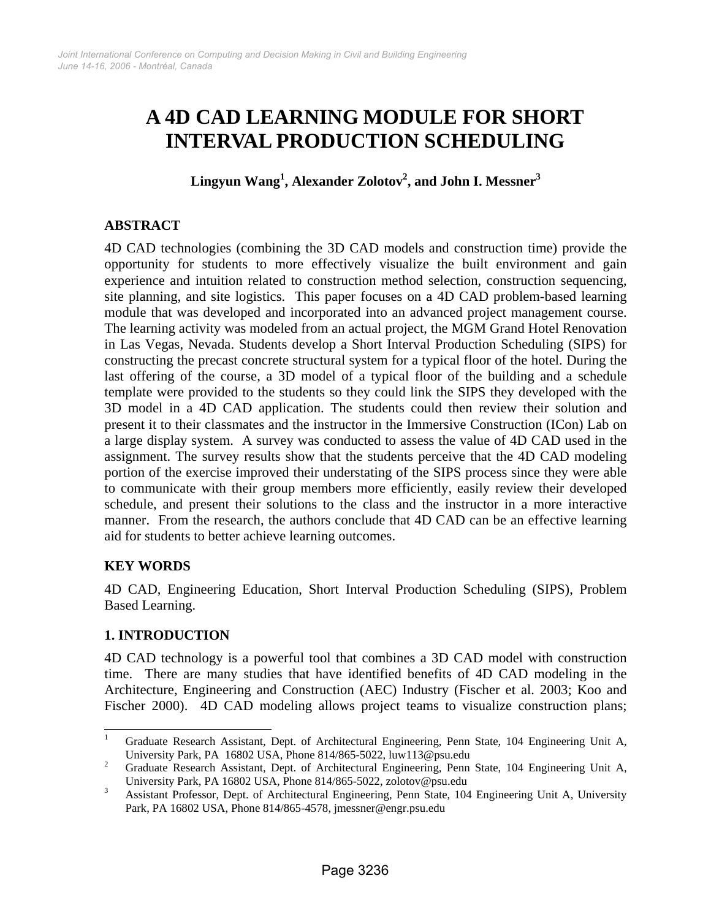# **A 4D CAD LEARNING MODULE FOR SHORT INTERVAL PRODUCTION SCHEDULING**

**Lingyun Wang<sup>1</sup> , Alexander Zolotov<sup>2</sup> , and John I. Messner3**

# **ABSTRACT**

4D CAD technologies (combining the 3D CAD models and construction time) provide the opportunity for students to more effectively visualize the built environment and gain experience and intuition related to construction method selection, construction sequencing, site planning, and site logistics. This paper focuses on a 4D CAD problem-based learning module that was developed and incorporated into an advanced project management course. The learning activity was modeled from an actual project, the MGM Grand Hotel Renovation in Las Vegas, Nevada. Students develop a Short Interval Production Scheduling (SIPS) for constructing the precast concrete structural system for a typical floor of the hotel. During the last offering of the course, a 3D model of a typical floor of the building and a schedule template were provided to the students so they could link the SIPS they developed with the 3D model in a 4D CAD application. The students could then review their solution and present it to their classmates and the instructor in the Immersive Construction (ICon) Lab on a large display system. A survey was conducted to assess the value of 4D CAD used in the assignment. The survey results show that the students perceive that the 4D CAD modeling portion of the exercise improved their understating of the SIPS process since they were able to communicate with their group members more efficiently, easily review their developed schedule, and present their solutions to the class and the instructor in a more interactive manner. From the research, the authors conclude that 4D CAD can be an effective learning aid for students to better achieve learning outcomes.

# **KEY WORDS**

4D CAD, Engineering Education, Short Interval Production Scheduling (SIPS), Problem Based Learning.

## **1. INTRODUCTION**

4D CAD technology is a powerful tool that combines a 3D CAD model with construction time. There are many studies that have identified benefits of 4D CAD modeling in the Architecture, Engineering and Construction (AEC) Industry (Fischer et al. 2003; Koo and Fischer 2000). 4D CAD modeling allows project teams to visualize construction plans;

<sup>|&</sup>lt;br>|<br>| Graduate Research Assistant, Dept. of Architectural Engineering, Penn State, 104 Engineering Unit A, University Park, PA 16802 USA, Phone 814/865-5022, luw113@psu.edu  $\frac{2}{3}$ 

Graduate Research Assistant, Dept. of Architectural Engineering, Penn State, 104 Engineering Unit A, University Park, PA 16802 USA, Phone 814/865-5022, zolotov@psu.edu<br>3 Agriculture Professor Dant of Anglice turn Engineering, Para State 10

Assistant Professor, Dept. of Architectural Engineering, Penn State, 104 Engineering Unit A, University Park, PA 16802 USA, Phone 814/865-4578, jmessner@engr.psu.edu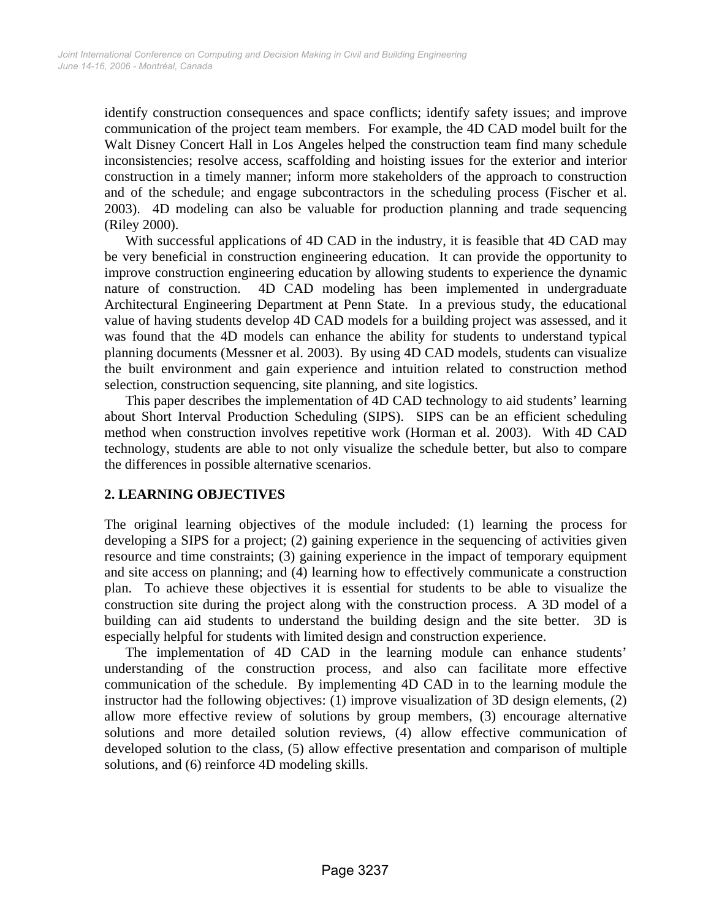identify construction consequences and space conflicts; identify safety issues; and improve communication of the project team members. For example, the 4D CAD model built for the Walt Disney Concert Hall in Los Angeles helped the construction team find many schedule inconsistencies; resolve access, scaffolding and hoisting issues for the exterior and interior construction in a timely manner; inform more stakeholders of the approach to construction and of the schedule; and engage subcontractors in the scheduling process (Fischer et al. 2003). 4D modeling can also be valuable for production planning and trade sequencing (Riley 2000).

With successful applications of 4D CAD in the industry, it is feasible that 4D CAD may be very beneficial in construction engineering education. It can provide the opportunity to improve construction engineering education by allowing students to experience the dynamic nature of construction. 4D CAD modeling has been implemented in undergraduate Architectural Engineering Department at Penn State. In a previous study, the educational value of having students develop 4D CAD models for a building project was assessed, and it was found that the 4D models can enhance the ability for students to understand typical planning documents (Messner et al. 2003). By using 4D CAD models, students can visualize the built environment and gain experience and intuition related to construction method selection, construction sequencing, site planning, and site logistics.

This paper describes the implementation of 4D CAD technology to aid students' learning about Short Interval Production Scheduling (SIPS). SIPS can be an efficient scheduling method when construction involves repetitive work (Horman et al. 2003). With 4D CAD technology, students are able to not only visualize the schedule better, but also to compare the differences in possible alternative scenarios.

## **2. LEARNING OBJECTIVES**

The original learning objectives of the module included: (1) learning the process for developing a SIPS for a project; (2) gaining experience in the sequencing of activities given resource and time constraints; (3) gaining experience in the impact of temporary equipment and site access on planning; and (4) learning how to effectively communicate a construction plan. To achieve these objectives it is essential for students to be able to visualize the construction site during the project along with the construction process. A 3D model of a building can aid students to understand the building design and the site better. 3D is especially helpful for students with limited design and construction experience.

The implementation of 4D CAD in the learning module can enhance students' understanding of the construction process, and also can facilitate more effective communication of the schedule. By implementing 4D CAD in to the learning module the instructor had the following objectives: (1) improve visualization of 3D design elements, (2) allow more effective review of solutions by group members, (3) encourage alternative solutions and more detailed solution reviews, (4) allow effective communication of developed solution to the class, (5) allow effective presentation and comparison of multiple solutions, and (6) reinforce 4D modeling skills.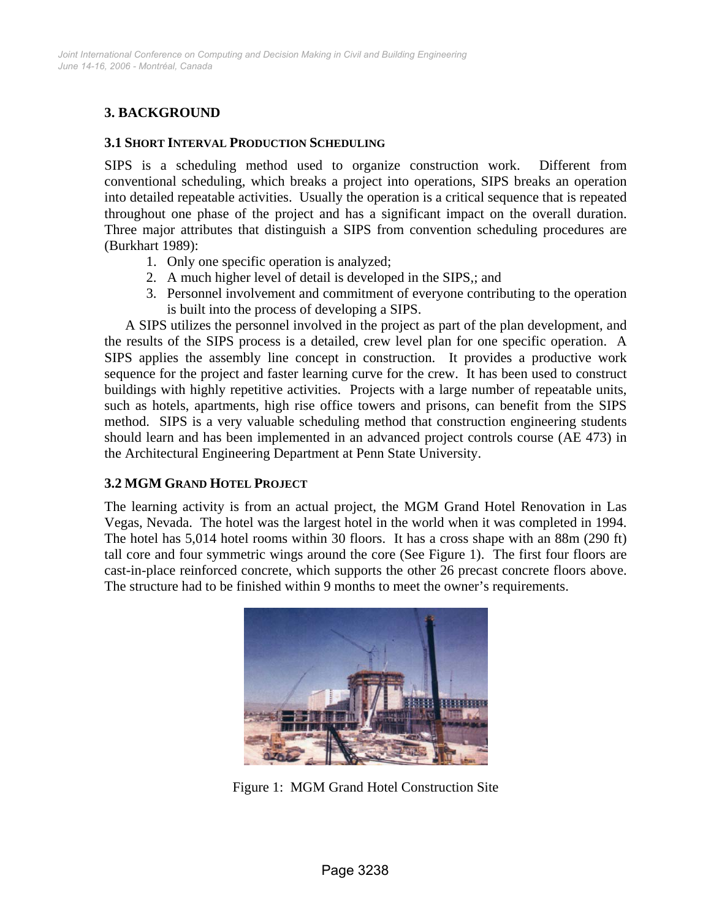# **3. BACKGROUND**

#### **3.1 SHORT INTERVAL PRODUCTION SCHEDULING**

SIPS is a scheduling method used to organize construction work. Different from conventional scheduling, which breaks a project into operations, SIPS breaks an operation into detailed repeatable activities. Usually the operation is a critical sequence that is repeated throughout one phase of the project and has a significant impact on the overall duration. Three major attributes that distinguish a SIPS from convention scheduling procedures are (Burkhart 1989):

- 1. Only one specific operation is analyzed;
- 2. A much higher level of detail is developed in the SIPS,; and
- 3. Personnel involvement and commitment of everyone contributing to the operation is built into the process of developing a SIPS.

A SIPS utilizes the personnel involved in the project as part of the plan development, and the results of the SIPS process is a detailed, crew level plan for one specific operation. A SIPS applies the assembly line concept in construction. It provides a productive work sequence for the project and faster learning curve for the crew. It has been used to construct buildings with highly repetitive activities. Projects with a large number of repeatable units, such as hotels, apartments, high rise office towers and prisons, can benefit from the SIPS method. SIPS is a very valuable scheduling method that construction engineering students should learn and has been implemented in an advanced project controls course (AE 473) in the Architectural Engineering Department at Penn State University.

#### **3.2 MGM GRAND HOTEL PROJECT**

The learning activity is from an actual project, the MGM Grand Hotel Renovation in Las Vegas, Nevada. The hotel was the largest hotel in the world when it was completed in 1994. The hotel has 5,014 hotel rooms within 30 floors. It has a cross shape with an 88m (290 ft) tall core and four symmetric wings around the core (See Figure 1). The first four floors are cast-in-place reinforced concrete, which supports the other 26 precast concrete floors above. The structure had to be finished within 9 months to meet the owner's requirements.



Figure 1: MGM Grand Hotel Construction Site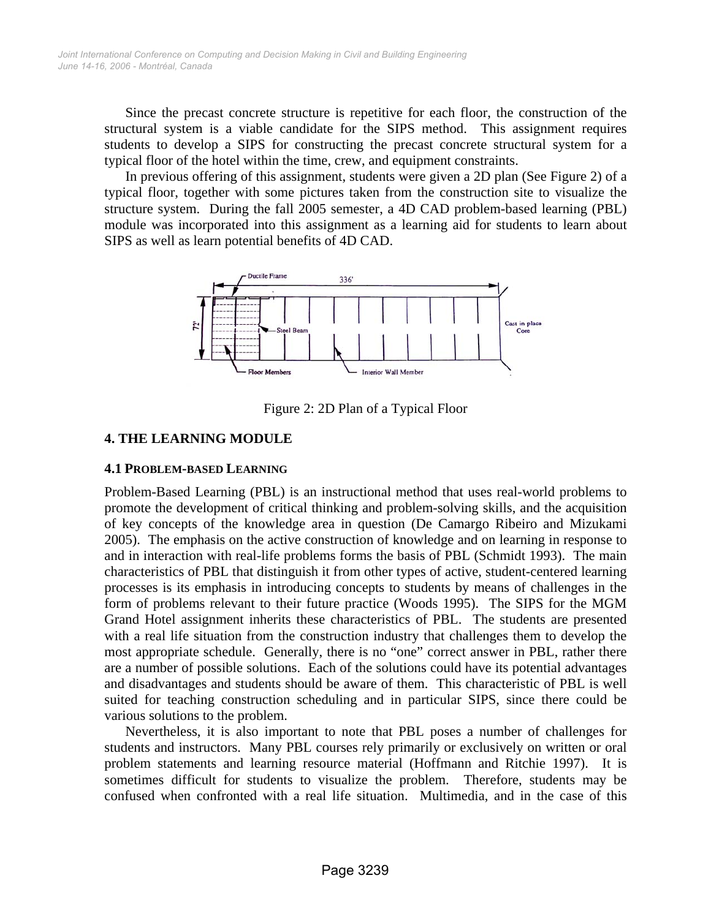Since the precast concrete structure is repetitive for each floor, the construction of the structural system is a viable candidate for the SIPS method. This assignment requires students to develop a SIPS for constructing the precast concrete structural system for a typical floor of the hotel within the time, crew, and equipment constraints.

In previous offering of this assignment, students were given a 2D plan (See Figure 2) of a typical floor, together with some pictures taken from the construction site to visualize the structure system. During the fall 2005 semester, a 4D CAD problem-based learning (PBL) module was incorporated into this assignment as a learning aid for students to learn about SIPS as well as learn potential benefits of 4D CAD.



Figure 2: 2D Plan of a Typical Floor

# **4. THE LEARNING MODULE**

## **4.1 PROBLEM-BASED LEARNING**

Problem-Based Learning (PBL) is an instructional method that uses real-world problems to promote the development of critical thinking and problem-solving skills, and the acquisition of key concepts of the knowledge area in question (De Camargo Ribeiro and Mizukami 2005). The emphasis on the active construction of knowledge and on learning in response to and in interaction with real-life problems forms the basis of PBL (Schmidt 1993). The main characteristics of PBL that distinguish it from other types of active, student-centered learning processes is its emphasis in introducing concepts to students by means of challenges in the form of problems relevant to their future practice (Woods 1995). The SIPS for the MGM Grand Hotel assignment inherits these characteristics of PBL. The students are presented with a real life situation from the construction industry that challenges them to develop the most appropriate schedule. Generally, there is no "one" correct answer in PBL, rather there are a number of possible solutions. Each of the solutions could have its potential advantages and disadvantages and students should be aware of them. This characteristic of PBL is well suited for teaching construction scheduling and in particular SIPS, since there could be various solutions to the problem.

Nevertheless, it is also important to note that PBL poses a number of challenges for students and instructors. Many PBL courses rely primarily or exclusively on written or oral problem statements and learning resource material (Hoffmann and Ritchie 1997). It is sometimes difficult for students to visualize the problem. Therefore, students may be confused when confronted with a real life situation. Multimedia, and in the case of this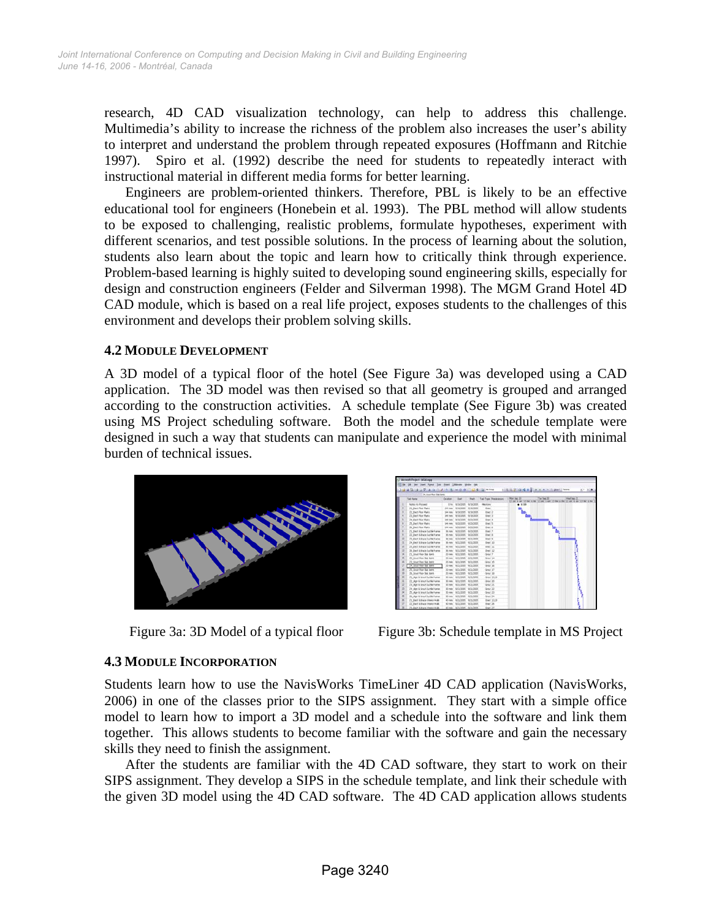research, 4D CAD visualization technology, can help to address this challenge. Multimedia's ability to increase the richness of the problem also increases the user's ability to interpret and understand the problem through repeated exposures (Hoffmann and Ritchie 1997). Spiro et al. (1992) describe the need for students to repeatedly interact with instructional material in different media forms for better learning.

Engineers are problem-oriented thinkers. Therefore, PBL is likely to be an effective educational tool for engineers (Honebein et al. 1993). The PBL method will allow students to be exposed to challenging, realistic problems, formulate hypotheses, experiment with different scenarios, and test possible solutions. In the process of learning about the solution, students also learn about the topic and learn how to critically think through experience. Problem-based learning is highly suited to developing sound engineering skills, especially for design and construction engineers (Felder and Silverman 1998). The MGM Grand Hotel 4D CAD module, which is based on a real life project, exposes students to the challenges of this environment and develops their problem solving skills.

#### **4.2 MODULE DEVELOPMENT**

A 3D model of a typical floor of the hotel (See Figure 3a) was developed using a CAD application. The 3D model was then revised so that all geometry is grouped and arranged according to the construction activities. A schedule template (See Figure 3b) was created using MS Project scheduling software. Both the model and the schedule template were designed in such a way that students can manipulate and experience the model with minimal burden of technical issues.





Figure 3a: 3D Model of a typical floor Figure 3b: Schedule template in MS Project

## **4.3 MODULE INCORPORATION**

Students learn how to use the NavisWorks TimeLiner 4D CAD application (NavisWorks, 2006) in one of the classes prior to the SIPS assignment. They start with a simple office model to learn how to import a 3D model and a schedule into the software and link them together. This allows students to become familiar with the software and gain the necessary skills they need to finish the assignment.

After the students are familiar with the 4D CAD software, they start to work on their SIPS assignment. They develop a SIPS in the schedule template, and link their schedule with the given 3D model using the 4D CAD software. The 4D CAD application allows students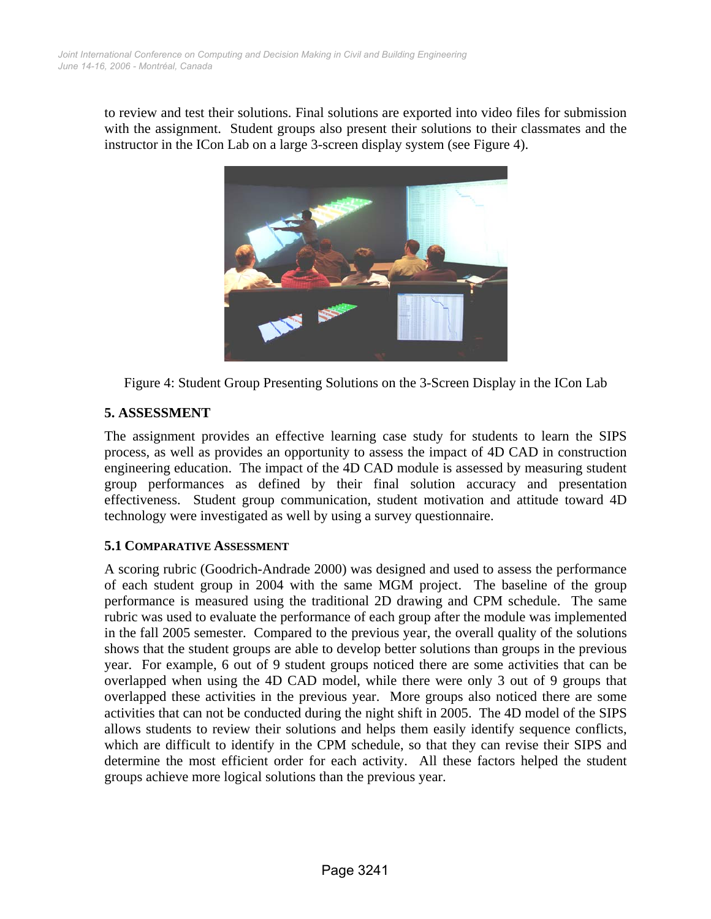to review and test their solutions. Final solutions are exported into video files for submission with the assignment. Student groups also present their solutions to their classmates and the instructor in the ICon Lab on a large 3-screen display system (see Figure 4).



Figure 4: Student Group Presenting Solutions on the 3-Screen Display in the ICon Lab

# **5. ASSESSMENT**

The assignment provides an effective learning case study for students to learn the SIPS process, as well as provides an opportunity to assess the impact of 4D CAD in construction engineering education. The impact of the 4D CAD module is assessed by measuring student group performances as defined by their final solution accuracy and presentation effectiveness. Student group communication, student motivation and attitude toward 4D technology were investigated as well by using a survey questionnaire.

## **5.1 COMPARATIVE ASSESSMENT**

A scoring rubric (Goodrich-Andrade 2000) was designed and used to assess the performance of each student group in 2004 with the same MGM project. The baseline of the group performance is measured using the traditional 2D drawing and CPM schedule. The same rubric was used to evaluate the performance of each group after the module was implemented in the fall 2005 semester. Compared to the previous year, the overall quality of the solutions shows that the student groups are able to develop better solutions than groups in the previous year. For example, 6 out of 9 student groups noticed there are some activities that can be overlapped when using the 4D CAD model, while there were only 3 out of 9 groups that overlapped these activities in the previous year. More groups also noticed there are some activities that can not be conducted during the night shift in 2005. The 4D model of the SIPS allows students to review their solutions and helps them easily identify sequence conflicts, which are difficult to identify in the CPM schedule, so that they can revise their SIPS and determine the most efficient order for each activity. All these factors helped the student groups achieve more logical solutions than the previous year.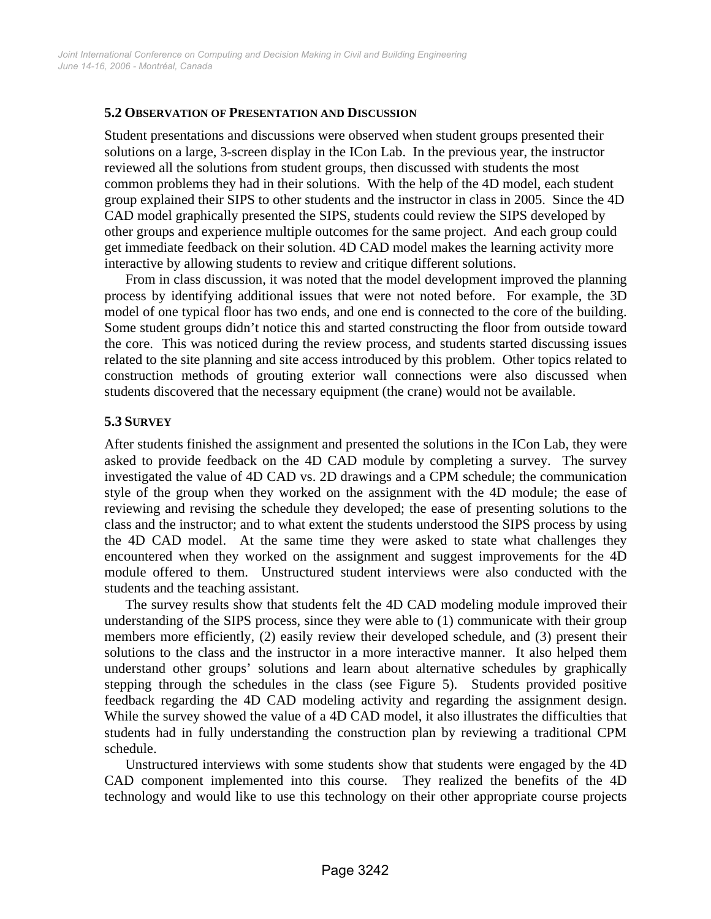#### **5.2 OBSERVATION OF PRESENTATION AND DISCUSSION**

Student presentations and discussions were observed when student groups presented their solutions on a large, 3-screen display in the ICon Lab. In the previous year, the instructor reviewed all the solutions from student groups, then discussed with students the most common problems they had in their solutions. With the help of the 4D model, each student group explained their SIPS to other students and the instructor in class in 2005. Since the 4D CAD model graphically presented the SIPS, students could review the SIPS developed by other groups and experience multiple outcomes for the same project. And each group could get immediate feedback on their solution. 4D CAD model makes the learning activity more interactive by allowing students to review and critique different solutions.

From in class discussion, it was noted that the model development improved the planning process by identifying additional issues that were not noted before. For example, the 3D model of one typical floor has two ends, and one end is connected to the core of the building. Some student groups didn't notice this and started constructing the floor from outside toward the core. This was noticed during the review process, and students started discussing issues related to the site planning and site access introduced by this problem. Other topics related to construction methods of grouting exterior wall connections were also discussed when students discovered that the necessary equipment (the crane) would not be available.

#### **5.3 SURVEY**

After students finished the assignment and presented the solutions in the ICon Lab, they were asked to provide feedback on the 4D CAD module by completing a survey. The survey investigated the value of 4D CAD vs. 2D drawings and a CPM schedule; the communication style of the group when they worked on the assignment with the 4D module; the ease of reviewing and revising the schedule they developed; the ease of presenting solutions to the class and the instructor; and to what extent the students understood the SIPS process by using the 4D CAD model. At the same time they were asked to state what challenges they encountered when they worked on the assignment and suggest improvements for the 4D module offered to them. Unstructured student interviews were also conducted with the students and the teaching assistant.

The survey results show that students felt the 4D CAD modeling module improved their understanding of the SIPS process, since they were able to (1) communicate with their group members more efficiently, (2) easily review their developed schedule, and (3) present their solutions to the class and the instructor in a more interactive manner. It also helped them understand other groups' solutions and learn about alternative schedules by graphically stepping through the schedules in the class (see Figure 5). Students provided positive feedback regarding the 4D CAD modeling activity and regarding the assignment design. While the survey showed the value of a 4D CAD model, it also illustrates the difficulties that students had in fully understanding the construction plan by reviewing a traditional CPM schedule.

Unstructured interviews with some students show that students were engaged by the 4D CAD component implemented into this course. They realized the benefits of the 4D technology and would like to use this technology on their other appropriate course projects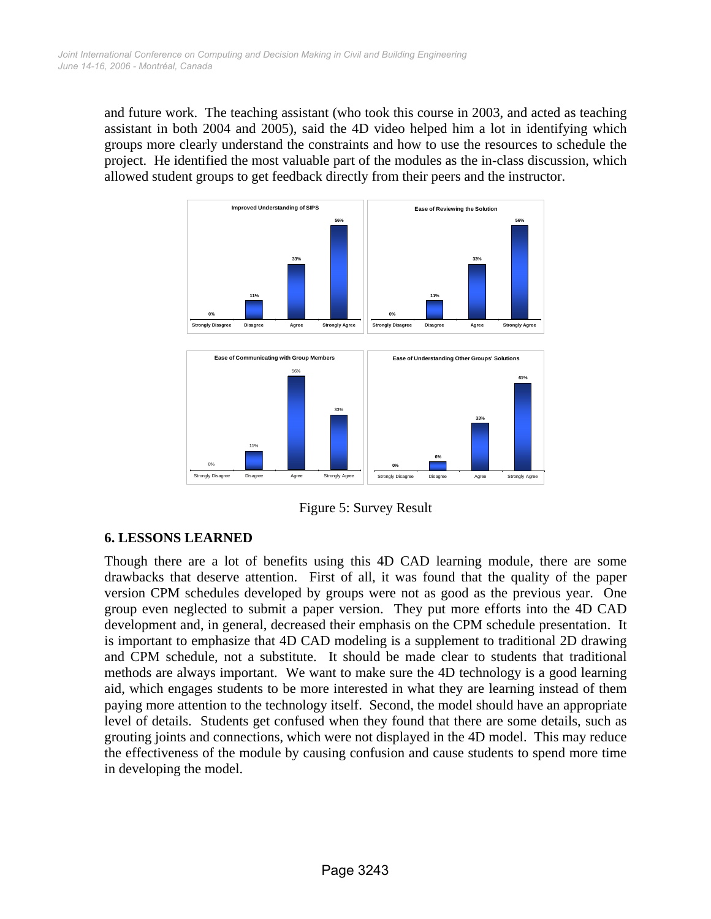and future work. The teaching assistant (who took this course in 2003, and acted as teaching assistant in both 2004 and 2005), said the 4D video helped him a lot in identifying which groups more clearly understand the constraints and how to use the resources to schedule the project. He identified the most valuable part of the modules as the in-class discussion, which allowed student groups to get feedback directly from their peers and the instructor.



Figure 5: Survey Result

## **6. LESSONS LEARNED**

Though there are a lot of benefits using this 4D CAD learning module, there are some drawbacks that deserve attention. First of all, it was found that the quality of the paper version CPM schedules developed by groups were not as good as the previous year. One group even neglected to submit a paper version. They put more efforts into the 4D CAD development and, in general, decreased their emphasis on the CPM schedule presentation. It is important to emphasize that 4D CAD modeling is a supplement to traditional 2D drawing and CPM schedule, not a substitute. It should be made clear to students that traditional methods are always important. We want to make sure the 4D technology is a good learning aid, which engages students to be more interested in what they are learning instead of them paying more attention to the technology itself. Second, the model should have an appropriate level of details. Students get confused when they found that there are some details, such as grouting joints and connections, which were not displayed in the 4D model. This may reduce the effectiveness of the module by causing confusion and cause students to spend more time in developing the model.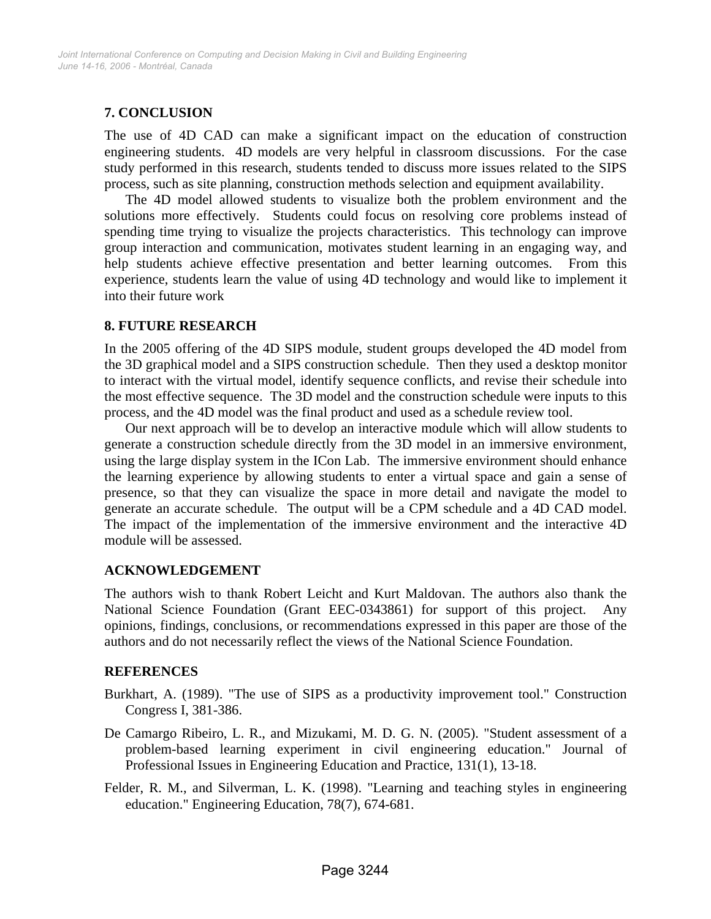# **7. CONCLUSION**

The use of 4D CAD can make a significant impact on the education of construction engineering students. 4D models are very helpful in classroom discussions. For the case study performed in this research, students tended to discuss more issues related to the SIPS process, such as site planning, construction methods selection and equipment availability.

The 4D model allowed students to visualize both the problem environment and the solutions more effectively. Students could focus on resolving core problems instead of spending time trying to visualize the projects characteristics. This technology can improve group interaction and communication, motivates student learning in an engaging way, and help students achieve effective presentation and better learning outcomes. From this experience, students learn the value of using 4D technology and would like to implement it into their future work

#### **8. FUTURE RESEARCH**

In the 2005 offering of the 4D SIPS module, student groups developed the 4D model from the 3D graphical model and a SIPS construction schedule. Then they used a desktop monitor to interact with the virtual model, identify sequence conflicts, and revise their schedule into the most effective sequence. The 3D model and the construction schedule were inputs to this process, and the 4D model was the final product and used as a schedule review tool.

Our next approach will be to develop an interactive module which will allow students to generate a construction schedule directly from the 3D model in an immersive environment, using the large display system in the ICon Lab. The immersive environment should enhance the learning experience by allowing students to enter a virtual space and gain a sense of presence, so that they can visualize the space in more detail and navigate the model to generate an accurate schedule. The output will be a CPM schedule and a 4D CAD model. The impact of the implementation of the immersive environment and the interactive 4D module will be assessed.

## **ACKNOWLEDGEMENT**

The authors wish to thank Robert Leicht and Kurt Maldovan. The authors also thank the National Science Foundation (Grant EEC-0343861) for support of this project. Any opinions, findings, conclusions, or recommendations expressed in this paper are those of the authors and do not necessarily reflect the views of the National Science Foundation.

#### **REFERENCES**

- Burkhart, A. (1989). "The use of SIPS as a productivity improvement tool." Construction Congress I, 381-386.
- De Camargo Ribeiro, L. R., and Mizukami, M. D. G. N. (2005). "Student assessment of a problem-based learning experiment in civil engineering education." Journal of Professional Issues in Engineering Education and Practice, 131(1), 13-18.
- Felder, R. M., and Silverman, L. K. (1998). "Learning and teaching styles in engineering education." Engineering Education, 78(7), 674-681.